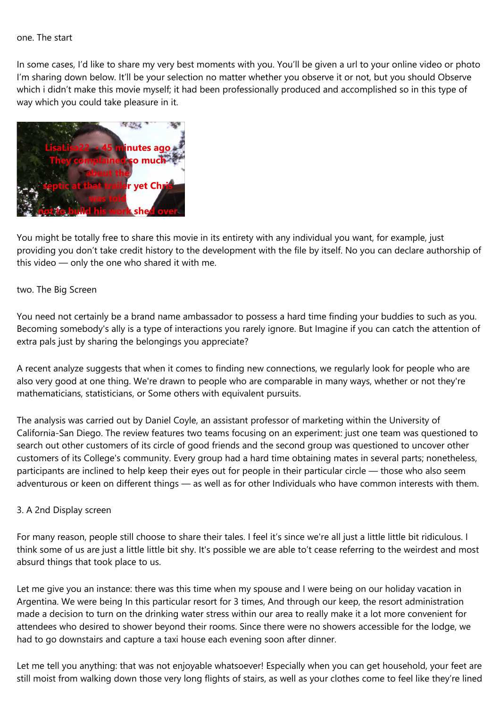## one. The start

In some cases, I'd like to share my very best moments with you. You'll be given a url to your online video or photo I'm sharing down below. It'll be your selection no matter whether you observe it or not, but you should Observe which i didn't make this movie myself; it had been professionally produced and accomplished so in this type of way which you could take pleasure in it.



You might be totally free to share this movie in its entirety with any individual you want, for example, just providing you don't take credit history to the development with the file by itself. No you can declare authorship of this video — only the one who shared it with me.

## two. The Big Screen

You need not certainly be a brand name ambassador to possess a hard time finding your buddies to such as you. Becoming somebody's ally is a type of interactions you rarely ignore. But Imagine if you can catch the attention of extra pals just by sharing the belongings you appreciate?

A recent analyze suggests that when it comes to finding new connections, we regularly look for people who are also very good at one thing. We're drawn to people who are comparable in many ways, whether or not they're mathematicians, statisticians, or Some others with equivalent pursuits.

The analysis was carried out by Daniel Coyle, an assistant professor of marketing within the University of California-San Diego. The review features two teams focusing on an experiment: just one team was questioned to search out other customers of its circle of good friends and the second group was questioned to uncover other customers of its College's community. Every group had a hard time obtaining mates in several parts; nonetheless, participants are inclined to help keep their eyes out for people in their particular circle — those who also seem adventurous or keen on different things — as well as for other Individuals who have common interests with them.

## 3. A 2nd Display screen

For many reason, people still choose to share their tales. I feel it's since we're all just a little little bit ridiculous. I think some of us are just a little little bit shy. It's possible we are able to't cease referring to the weirdest and most absurd things that took place to us.

Let me give you an instance: there was this time when my spouse and I were being on our holiday vacation in Argentina. We were being In this particular resort for 3 times, And through our keep, the resort administration made a decision to turn on the drinking water stress within our area to really make it a lot more convenient for attendees who desired to shower beyond their rooms. Since there were no showers accessible for the lodge, we had to go downstairs and capture a taxi house each evening soon after dinner.

Let me tell you anything: that was not enjoyable whatsoever! Especially when you can get household, your feet are still moist from walking down those very long flights of stairs, as well as your clothes come to feel like they're lined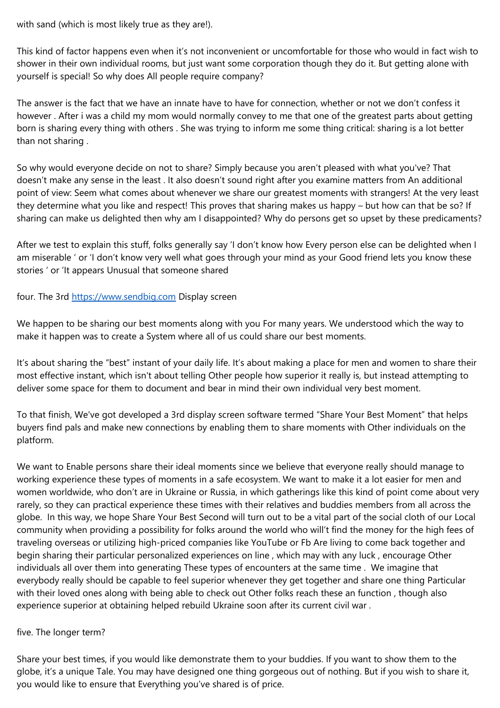with sand (which is most likely true as they are!).

This kind of factor happens even when it's not inconvenient or uncomfortable for those who would in fact wish to shower in their own individual rooms, but just want some corporation though they do it. But getting alone with yourself is special! So why does All people require company?

The answer is the fact that we have an innate have to have for connection, whether or not we don't confess it however . After i was a child my mom would normally convey to me that one of the greatest parts about getting born is sharing every thing with others . She was trying to inform me some thing critical: sharing is a lot better than not sharing .

So why would everyone decide on not to share? Simply because you aren't pleased with what you've? That doesn't make any sense in the least . It also doesn't sound right after you examine matters from An additional point of view: Seem what comes about whenever we share our greatest moments with strangers! At the very least they determine what you like and respect! This proves that sharing makes us happy – but how can that be so? If sharing can make us delighted then why am I disappointed? Why do persons get so upset by these predicaments?

After we test to explain this stuff, folks generally say 'I don't know how Every person else can be delighted when I am miserable ' or 'I don't know very well what goes through your mind as your Good friend lets you know these stories ' or 'It appears Unusual that someone shared

four. The 3rd <https://www.sendbig.com> Display screen

We happen to be sharing our best moments along with you For many years. We understood which the way to make it happen was to create a System where all of us could share our best moments.

It's about sharing the "best" instant of your daily life. It's about making a place for men and women to share their most effective instant, which isn't about telling Other people how superior it really is, but instead attempting to deliver some space for them to document and bear in mind their own individual very best moment.

To that finish, We've got developed a 3rd display screen software termed "Share Your Best Moment" that helps buyers find pals and make new connections by enabling them to share moments with Other individuals on the platform.

We want to Enable persons share their ideal moments since we believe that everyone really should manage to working experience these types of moments in a safe ecosystem. We want to make it a lot easier for men and women worldwide, who don't are in Ukraine or Russia, in which gatherings like this kind of point come about very rarely, so they can practical experience these times with their relatives and buddies members from all across the globe. In this way, we hope Share Your Best Second will turn out to be a vital part of the social cloth of our Local community when providing a possibility for folks around the world who will't find the money for the high fees of traveling overseas or utilizing high-priced companies like YouTube or Fb Are living to come back together and begin sharing their particular personalized experiences on line , which may with any luck , encourage Other individuals all over them into generating These types of encounters at the same time . We imagine that everybody really should be capable to feel superior whenever they get together and share one thing Particular with their loved ones along with being able to check out Other folks reach these an function , though also experience superior at obtaining helped rebuild Ukraine soon after its current civil war .

## five. The longer term?

Share your best times, if you would like demonstrate them to your buddies. If you want to show them to the globe, it's a unique Tale. You may have designed one thing gorgeous out of nothing. But if you wish to share it, you would like to ensure that Everything you've shared is of price.